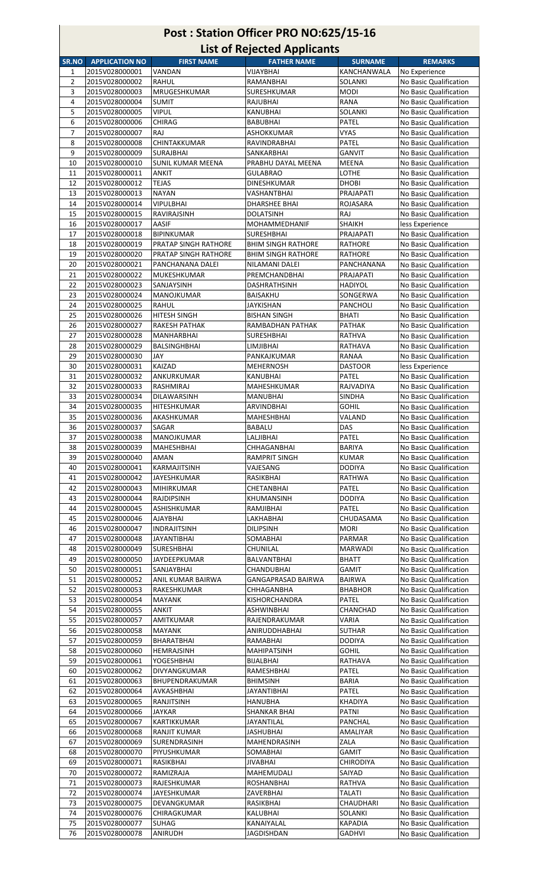| Post: Station Officer PRO NO:625/15-16<br><b>List of Rejected Applicants</b> |                                  |                                           |                                                |                             |                                                  |  |  |
|------------------------------------------------------------------------------|----------------------------------|-------------------------------------------|------------------------------------------------|-----------------------------|--------------------------------------------------|--|--|
| SR.NO                                                                        | <b>APPLICATION NO</b>            | <b>FIRST NAME</b>                         | <b>FATHER NAME</b>                             | <b>SURNAME</b>              | <b>REMARKS</b>                                   |  |  |
| 1                                                                            | 2015V028000001                   | VANDAN                                    | VIJAYBHAI                                      | KANCHANWALA                 | No Experience                                    |  |  |
| $\overline{2}$                                                               | 2015V028000002                   | RAHUL                                     | RAMANBHAI                                      | <b>SOLANKI</b>              | No Basic Qualification                           |  |  |
| 3                                                                            | 2015V028000003                   | MRUGESHKUMAR                              | SURESHKUMAR                                    | <b>MODI</b>                 | No Basic Qualification                           |  |  |
| 4<br>5                                                                       | 2015V028000004<br>2015V028000005 | <b>SUMIT</b><br>VIPUL                     | RAJUBHAI<br>KANUBHAI                           | RANA<br>SOLANKI             | No Basic Qualification                           |  |  |
| 6                                                                            | 2015V028000006                   | CHIRAG                                    | BABUBHAI                                       | PATEL                       | No Basic Qualification<br>No Basic Qualification |  |  |
| 7                                                                            | 2015V028000007                   | RAJ                                       | ASHOKKUMAR                                     | <b>VYAS</b>                 | No Basic Qualification                           |  |  |
| 8                                                                            | 2015V028000008                   | CHINTAKKUMAR                              | RAVINDRABHAI                                   | PATEL                       | No Basic Qualification                           |  |  |
| 9                                                                            | 2015V028000009                   | <b>SURAJBHAI</b>                          | SANKARBHAI                                     | <b>GANVIT</b>               | No Basic Qualification                           |  |  |
| 10                                                                           | 2015V028000010                   | <b>SUNIL KUMAR MEENA</b><br><b>ANKIT</b>  | PRABHU DAYAL MEENA<br><b>GULABRAO</b>          | MEENA<br>LOTHE              | No Basic Qualification                           |  |  |
| 11<br>12                                                                     | 2015V028000011<br>2015V028000012 | <b>TEJAS</b>                              | DINESHKUMAR                                    | <b>DHOBI</b>                | No Basic Qualification<br>No Basic Qualification |  |  |
| 13                                                                           | 2015V028000013                   | <b>NAYAN</b>                              | VASHANTBHAI                                    | PRAJAPATI                   | No Basic Qualification                           |  |  |
| 14                                                                           | 2015V028000014                   | <b>VIPULBHAI</b>                          | DHARSHEE BHAI                                  | ROJASARA                    | No Basic Qualification                           |  |  |
| 15                                                                           | 2015V028000015                   | <b>RAVIRAJSINH</b>                        | DOLATSINH                                      | RAJ                         | No Basic Qualification                           |  |  |
| 16                                                                           | 2015V028000017                   | AASIF                                     | <b>MOHAMMEDHANIF</b>                           | <b>SHAIKH</b>               | less Experience                                  |  |  |
| 17<br>18                                                                     | 2015V028000018<br>2015V028000019 | <b>BIPINKUMAR</b><br>PRATAP SINGH RATHORE | <b>SURESHBHAI</b><br><b>BHIM SINGH RATHORE</b> | PRAJAPATI<br><b>RATHORE</b> | No Basic Qualification<br>No Basic Qualification |  |  |
| 19                                                                           | 2015V028000020                   | PRATAP SINGH RATHORE                      | <b>BHIM SINGH RATHORE</b>                      | <b>RATHORE</b>              | No Basic Qualification                           |  |  |
| 20                                                                           | 2015V028000021                   | PANCHANANA DALEI                          | NILAMANI DALEI                                 | PANCHANANA                  | No Basic Qualification                           |  |  |
| 21                                                                           | 2015V028000022                   | MUKESHKUMAR                               | PREMCHANDBHAI                                  | PRAJAPATI                   | No Basic Qualification                           |  |  |
| 22                                                                           | 2015V028000023                   | SANJAYSINH                                | DASHRATHSINH                                   | <b>HADIYOL</b>              | No Basic Qualification                           |  |  |
| 23                                                                           | 2015V028000024                   | MANOJKUMAR                                | BAISAKHU                                       | SONGERWA                    | No Basic Qualification                           |  |  |
| 24<br>25                                                                     | 2015V028000025<br>2015V028000026 | RAHUL<br>HITESH SINGH                     | JAYKISHAN<br><b>BISHAN SINGH</b>               | PANCHOLI<br><b>BHATI</b>    | No Basic Qualification<br>No Basic Qualification |  |  |
| 26                                                                           | 2015V028000027                   | <b>RAKESH PATHAK</b>                      | RAMBADHAN PATHAK                               | <b>PATHAK</b>               | No Basic Qualification                           |  |  |
| 27                                                                           | 2015V028000028                   | MANHARBHAI                                | SURESHBHAI                                     | RATHVA                      | No Basic Qualification                           |  |  |
| 28                                                                           | 2015V028000029                   | <b>BALSINGHBHAI</b>                       | LIMJIBHAI                                      | <b>RATHAVA</b>              | No Basic Qualification                           |  |  |
| 29                                                                           | 2015V028000030                   | JAY                                       | PANKAJKUMAR                                    | RANAA                       | No Basic Qualification                           |  |  |
| 30<br>31                                                                     | 2015V028000031                   | KAIZAD<br>ANKURKUMAR                      | <b>MEHERNOSH</b><br>KANUBHAI                   | <b>DASTOOR</b><br>PATEL     | less Experience<br>No Basic Qualification        |  |  |
| 32                                                                           | 2015V028000032<br>2015V028000033 | <b>RASHMIRAJ</b>                          | MAHESHKUMAR                                    | RAJVADIYA                   | No Basic Qualification                           |  |  |
| 33                                                                           | 2015V028000034                   | DILAWARSINH                               | MANUBHAI                                       | <b>SINDHA</b>               | No Basic Qualification                           |  |  |
| 34                                                                           | 2015V028000035                   | HITESHKUMAR                               | ARVINDBHAI                                     | <b>GOHIL</b>                | No Basic Qualification                           |  |  |
| 35                                                                           | 2015V028000036                   | AKASHKUMAR                                | MAHESHBHAI                                     | VALAND                      | No Basic Qualification                           |  |  |
| 36                                                                           | 2015V028000037                   | SAGAR                                     | BABALU                                         | DAS                         | No Basic Qualification                           |  |  |
| 37<br>38                                                                     | 2015V028000038<br>2015V028000039 | MANOJKUMAR<br>MAHESHBHAI                  | LALJIBHAI<br>CHHAGANBHAI                       | PATEL<br><b>BARIYA</b>      | No Basic Qualification<br>No Basic Qualification |  |  |
| 39                                                                           | 2015V028000040                   | AMAN                                      | <b>RAMPRIT SINGH</b>                           | <b>KUMAR</b>                | No Basic Qualification                           |  |  |
| 40                                                                           | 2015V028000041                   | <b>KARMAJITSINH</b>                       | VAJESANG                                       | <b>DODIYA</b>               | No Basic Qualification                           |  |  |
| 41                                                                           | 2015V028000042                   | JAYESHKUMAR                               | RASIKBHAI                                      | <b>RATHWA</b>               | No Basic Qualification                           |  |  |
| 42                                                                           | 2015V028000043                   | MIHIRKUMAR                                | CHETANBHAI                                     | PATEL                       | No Basic Qualification                           |  |  |
| 43<br>44                                                                     | 2015V028000044<br>2015V028000045 | RAJDIPSINH<br>ASHISHKUMAR                 | KHUMANSINH<br>RAMJIBHAI                        | <b>DODIYA</b><br>PATEL      | No Basic Qualification<br>No Basic Qualification |  |  |
| 45                                                                           | 2015V028000046                   | AJAYBHAI                                  | LAKHABHAI                                      | CHUDASAMA                   | No Basic Qualification                           |  |  |
| 46                                                                           | 2015V028000047                   | <b>INDRAJITSINH</b>                       | <b>DILIPSINH</b>                               | MORI                        | No Basic Qualification                           |  |  |
| 47                                                                           | 2015V028000048                   | JAYANTIBHAI                               | SOMABHAI                                       | PARMAR                      | No Basic Qualification                           |  |  |
| 48                                                                           | 2015V028000049                   | <b>SURESHBHAI</b>                         | CHUNILAL                                       | <b>MARWADI</b>              | No Basic Qualification                           |  |  |
| 49<br>50                                                                     | 2015V028000050                   | JAYDEEPKUMAR                              | BALVANTBHAI                                    | <b>BHATT</b>                | No Basic Qualification                           |  |  |
| 51                                                                           | 2015V028000051<br>2015V028000052 | SANJAYBHAI<br>ANIL KUMAR BAIRWA           | CHANDUBHAI<br><b>GANGAPRASAD BAIRWA</b>        | GAMIT<br><b>BAIRWA</b>      | No Basic Qualification<br>No Basic Qualification |  |  |
| 52                                                                           | 2015V028000053                   | RAKESHKUMAR                               | CHHAGANBHA                                     | <b>BHABHOR</b>              | No Basic Qualification                           |  |  |
| 53                                                                           | 2015V028000054                   | <b>MAYANK</b>                             | KISHORCHANDRA                                  | <b>PATEL</b>                | No Basic Qualification                           |  |  |
| 54                                                                           | 2015V028000055                   | ANKIT                                     | ASHWINBHAI                                     | CHANCHAD                    | No Basic Qualification                           |  |  |
| 55                                                                           | 2015V028000057                   | AMITKUMAR                                 | RAJENDRAKUMAR                                  | VARIA                       | No Basic Qualification                           |  |  |
| 56<br>57                                                                     | 2015V028000058<br>2015V028000059 | MAYANK<br>BHARATBHAI                      | ANIRUDDHABHAI<br>RAMABHAI                      | SUTHAR<br><b>DODIYA</b>     | No Basic Qualification<br>No Basic Qualification |  |  |
| 58                                                                           | 2015V028000060                   | HEMRAJSINH                                | <b>MAHIPATSINH</b>                             | <b>GOHIL</b>                | No Basic Qualification                           |  |  |
| 59                                                                           | 2015V028000061                   | YOGESHBHAI                                | BIJALBHAI                                      | RATHAVA                     | No Basic Qualification                           |  |  |
| 60                                                                           | 2015V028000062                   | DIVYANGKUMAR                              | RAMESHBHAI                                     | PATEL                       | No Basic Qualification                           |  |  |
| 61                                                                           | 2015V028000063                   | BHUPENDRAKUMAR                            | <b>BHIMSINH</b>                                | <b>BARIA</b>                | No Basic Qualification                           |  |  |
| 62                                                                           | 2015V028000064<br>2015V028000065 | AVKASHBHAI                                | <b>JAYANTIBHAI</b>                             | <b>PATEL</b>                | No Basic Qualification                           |  |  |
| 63<br>64                                                                     | 2015V028000066                   | RANJITSINH<br>JAYKAR                      | HANUBHA<br><b>SHANKAR BHAI</b>                 | KHADIYA<br><b>PATNI</b>     | No Basic Qualification<br>No Basic Qualification |  |  |
| 65                                                                           | 2015V028000067                   | KARTIKKUMAR                               | <b>JAYANTILAL</b>                              | <b>PANCHAL</b>              | No Basic Qualification                           |  |  |
| 66                                                                           | 2015V028000068                   | RANJIT KUMAR                              | JASHUBHAI                                      | AMALIYAR                    | No Basic Qualification                           |  |  |
| 67                                                                           | 2015V028000069                   | SURENDRASINH                              | MAHENDRASINH                                   | ZALA                        | No Basic Qualification                           |  |  |
| 68                                                                           | 2015V028000070                   | PIYUSHKUMAR                               | SOMABHAI                                       | GAMIT                       | No Basic Qualification                           |  |  |
| 69                                                                           | 2015V028000071                   | RASIKBHAI                                 | <b>JIVABHAI</b>                                | CHIRODIYA                   | No Basic Qualification                           |  |  |
| 70<br>71                                                                     | 2015V028000072<br>2015V028000073 | RAMIZRAJA<br>RAJESHKUMAR                  | MAHEMUDALI<br>ROSHANBHAI                       | SAIYAD<br>RATHVA            | No Basic Qualification<br>No Basic Qualification |  |  |
| 72                                                                           | 2015V028000074                   | JAYESHKUMAR                               | ZAVERBHAI                                      | <b>TALATI</b>               | No Basic Qualification                           |  |  |
| 73                                                                           | 2015V028000075                   | DEVANGKUMAR                               | RASIKBHAI                                      | CHAUDHARI                   | No Basic Qualification                           |  |  |
| 74                                                                           | 2015V028000076                   | CHIRAGKUMAR                               | KALUBHAI                                       | SOLANKI                     | No Basic Qualification                           |  |  |
| 75                                                                           | 2015V028000077                   | SUHAG                                     | KANAIYALAL                                     | <b>KAPADIA</b>              | No Basic Qualification                           |  |  |
| 76                                                                           | 2015V028000078                   | ANIRUDH                                   | <b>JAGDISHDAN</b>                              | <b>GADHVI</b>               | No Basic Qualification                           |  |  |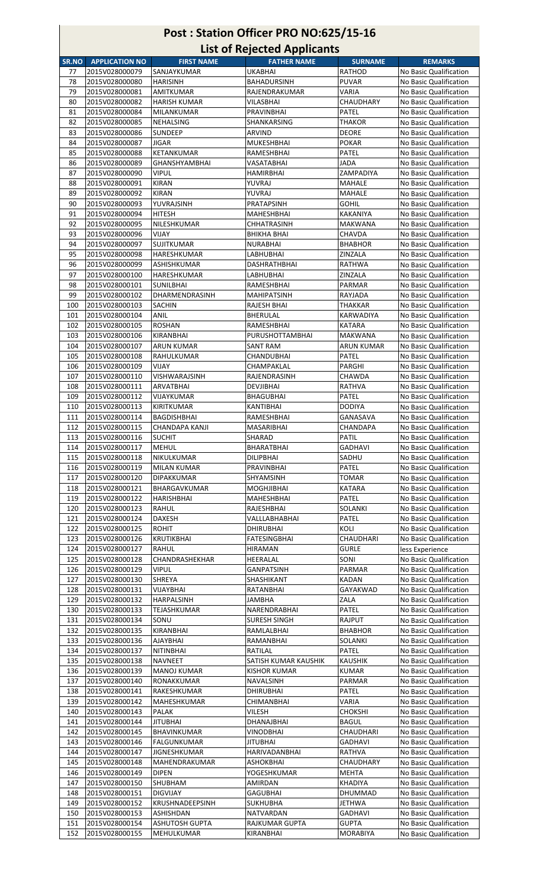| Post: Station Officer PRO NO:625/15-16<br><b>List of Rejected Applicants</b> |                                         |                                       |                                      |                                 |                                                  |  |  |
|------------------------------------------------------------------------------|-----------------------------------------|---------------------------------------|--------------------------------------|---------------------------------|--------------------------------------------------|--|--|
|                                                                              |                                         |                                       |                                      |                                 |                                                  |  |  |
| SR.NO<br>77                                                                  | <b>APPLICATION NO</b><br>2015V028000079 | <b>FIRST NAME</b><br>SANJAYKUMAR      | <b>FATHER NAME</b><br><b>UKABHAI</b> | <b>SURNAME</b><br><b>RATHOD</b> | <b>REMARKS</b><br>No Basic Qualification         |  |  |
| 78                                                                           | 2015V028000080                          | <b>HARISINH</b>                       | <b>BAHADURSINH</b>                   | <b>PUVAR</b>                    | No Basic Qualification                           |  |  |
| 79                                                                           | 2015V028000081                          | AMITKUMAR                             | RAJENDRAKUMAR                        | VARIA                           | No Basic Qualification                           |  |  |
| 80                                                                           | 2015V028000082                          | <b>HARISH KUMAR</b>                   | VILASBHAI                            | CHAUDHARY                       | No Basic Qualification                           |  |  |
| 81                                                                           | 2015V028000084                          | MILANKUMAR                            | PRAVINBHAI                           | <b>PATEL</b>                    | No Basic Qualification                           |  |  |
| 82                                                                           | 2015V028000085                          | NEHALSING                             | SHANKARSING                          | THAKOR                          | No Basic Qualification                           |  |  |
| 83                                                                           | 2015V028000086                          | <b>SUNDEEP</b>                        | ARVIND                               | DEORE                           | No Basic Qualification                           |  |  |
| 84<br>85                                                                     | 2015V028000087<br>2015V028000088        | <b>JIGAR</b><br>KETANKUMAR            | <b>MUKESHBHAI</b><br>RAMESHBHAI      | <b>POKAR</b><br><b>PATEL</b>    | No Basic Qualification<br>No Basic Qualification |  |  |
| 86                                                                           | 2015V028000089                          | <b>GHANSHYAMBHAI</b>                  | VASATABHAI                           | JADA                            | No Basic Qualification                           |  |  |
| 87                                                                           | 2015V028000090                          | Vipul                                 | HAMIRBHAI                            | ZAMPADIYA                       | No Basic Qualification                           |  |  |
| 88                                                                           | 2015V028000091                          | <b>KIRAN</b>                          | YUVRAJ                               | <b>MAHALE</b>                   | No Basic Qualification                           |  |  |
| 89                                                                           | 2015V028000092                          | <b>KIRAN</b>                          | YUVRAJ                               | <b>MAHALE</b>                   | No Basic Qualification                           |  |  |
| 90                                                                           | 2015V028000093                          | YUVRAJSINH                            | <b>PRATAPSINH</b>                    | <b>GOHIL</b>                    | No Basic Qualification                           |  |  |
| 91                                                                           | 2015V028000094<br>2015V028000095        | <b>HITESH</b>                         | MAHESHBHAI<br><b>CHHATRASINH</b>     | KAKANIYA                        | No Basic Qualification                           |  |  |
| 92<br>93                                                                     | 2015V028000096                          | NILESHKUMAR<br>VIJAY                  | BHIKHA BHAI                          | MAKWANA<br>CHAVDA               | No Basic Qualification<br>No Basic Qualification |  |  |
| 94                                                                           | 2015V028000097                          | <b>SUJITKUMAR</b>                     | NURABHAI                             | <b>BHABHOR</b>                  | No Basic Qualification                           |  |  |
| 95                                                                           | 2015V028000098                          | <b>HARESHKUMAR</b>                    | LABHUBHAI                            | ZINZALA                         | No Basic Qualification                           |  |  |
| 96                                                                           | 2015V028000099                          | ASHISHKUMAR                           | DASHRATHBHAI                         | RATHWA                          | No Basic Qualification                           |  |  |
| 97                                                                           | 2015V028000100                          | HARESHKUMAR                           | LABHUBHAI                            | ZINZALA                         | No Basic Qualification                           |  |  |
| 98                                                                           | 2015V028000101                          | SUNILBHAI                             | RAMESHBHAI                           | PARMAR                          | No Basic Qualification                           |  |  |
| 99                                                                           | 2015V028000102                          | DHARMENDRASINH                        | <b>MAHIPATSINH</b>                   | RAYJADA                         | No Basic Qualification                           |  |  |
| 100<br>101                                                                   | 2015V028000103<br>2015V028000104        | <b>SACHIN</b><br>ANIL                 | RAJESH BHAI<br><b>BHERULAL</b>       | THAKKAR<br>KARWADIYA            | No Basic Qualification<br>No Basic Qualification |  |  |
| 102                                                                          | 2015V028000105                          | <b>ROSHAN</b>                         | RAMESHBHAI                           | <b>KATARA</b>                   | No Basic Qualification                           |  |  |
| 103                                                                          | 2015V028000106                          | KIRANBHAI                             | <b>PURUSHOTTAMBHAI</b>               | <b>MAKWANA</b>                  | No Basic Qualification                           |  |  |
| 104                                                                          | 2015V028000107                          | <b>ARUN KUMAR</b>                     | <b>SANT RAM</b>                      | ARUN KUMAR                      | No Basic Qualification                           |  |  |
| 105                                                                          | 2015V028000108                          | RAHULKUMAR                            | CHANDUBHAI                           | PATEL                           | No Basic Qualification                           |  |  |
| 106                                                                          | 2015V028000109                          | VIJAY                                 | CHAMPAKLAL                           | PARGHI                          | No Basic Qualification                           |  |  |
| 107                                                                          | 2015V028000110                          | VISHWARAJSINH                         | RAJENDRASINH                         | CHAWDA                          | No Basic Qualification                           |  |  |
| 108<br>109                                                                   | 2015V028000111<br>2015V028000112        | <b>ARVATBHAI</b><br><b>VIJAYKUMAR</b> | DEVJIBHAI<br><b>BHAGUBHAI</b>        | <b>RATHVA</b><br><b>PATEL</b>   | No Basic Qualification<br>No Basic Qualification |  |  |
| 110                                                                          | 2015V028000113                          | KIRITKUMAR                            | KANTIBHAI                            | <b>DODIYA</b>                   | No Basic Qualification                           |  |  |
| 111                                                                          | 2015V028000114                          | BAGDISHBHAI                           | RAMESHBHAI                           | GANASAVA                        | No Basic Qualification                           |  |  |
| 112                                                                          | 2015V028000115                          | CHANDAPA KANJI                        | MASARIBHAI                           | CHANDAPA                        | No Basic Qualification                           |  |  |
| 113                                                                          | 2015V028000116                          | <b>SUCHIT</b>                         | SHARAD                               | PATIL                           | No Basic Qualification                           |  |  |
| 114                                                                          | 2015V028000117                          | <b>MEHUL</b>                          | BHARATBHAI                           | <b>GADHAVI</b>                  | No Basic Qualification                           |  |  |
| 115                                                                          | 2015V028000118<br>2015V028000119        | NIKULKUMAR<br><b>MILAN KUMAR</b>      | <b>DILIPBHAI</b><br>PRAVINBHAI       | SADHU<br>PATEL                  | No Basic Qualification                           |  |  |
| 116<br>117                                                                   | 2015V028000120                          | DIPAKKUMAR                            | SHYAMSINH                            | TOMAR                           | No Basic Qualification<br>No Basic Qualification |  |  |
| 118                                                                          | 2015V028000121                          | BHARGAVKUMAR                          | MOGHJIBHAI                           | KATARA                          | No Basic Qualification                           |  |  |
| 119                                                                          | 2015V028000122                          | HARISHBHAI                            | MAHESHBHAI                           | PATEL                           | No Basic Qualification                           |  |  |
| 120                                                                          | 2015V028000123                          | RAHUL                                 | RAJESHBHAI                           | SOLANKI                         | No Basic Qualification                           |  |  |
| 121                                                                          | 2015V028000124                          | DAXESH                                | VALLLABHABHAI                        | PATEL                           | No Basic Qualification                           |  |  |
| 122                                                                          | 2015V028000125                          | ROHIT                                 | DHIRUBHAI                            | KOLI                            | No Basic Qualification                           |  |  |
| 123<br>124                                                                   | 2015V028000126<br>2015V028000127        | <b>KRUTIKBHAI</b><br>RAHUL            | FATESINGBHAI<br>HIRAMAN              | CHAUDHARI<br><b>GURLE</b>       | No Basic Qualification<br>less Experience        |  |  |
| 125                                                                          | 2015V028000128                          | CHANDRASHEKHAR                        | HEERALAL                             | SONI                            | No Basic Qualification                           |  |  |
| 126                                                                          | 2015V028000129                          | <b>VIPUL</b>                          | GANPATSINH                           | PARMAR                          | No Basic Qualification                           |  |  |
| 127                                                                          | 2015V028000130                          | SHREYA                                | SHASHIKANT                           | <b>KADAN</b>                    | No Basic Qualification                           |  |  |
| 128                                                                          | 2015V028000131                          | VIJAYBHAI                             | RATANBHAI                            | GAYAKWAD                        | No Basic Qualification                           |  |  |
| 129                                                                          | 2015V028000132                          | HARPALSINH                            | JAMBHA                               | ZALA                            | No Basic Qualification                           |  |  |
| 130                                                                          | 2015V028000133                          | TEJASHKUMAR                           | NARENDRABHAI<br><b>SURESH SINGH</b>  | PATEL                           | No Basic Qualification                           |  |  |
| 131<br>132                                                                   | 2015V028000134<br>2015V028000135        | SONU<br>KIRANBHAI                     | RAMLALBHAI                           | RAJPUT<br><b>BHABHOR</b>        | No Basic Qualification<br>No Basic Qualification |  |  |
| 133                                                                          | 2015V028000136                          | AJAYBHAI                              | RAMANBHAI                            | SOLANKI                         | No Basic Qualification                           |  |  |
| 134                                                                          | 2015V028000137                          | <b>NITINBHAI</b>                      | RATILAL                              | PATEL                           | No Basic Qualification                           |  |  |
| 135                                                                          | 2015V028000138                          | NAVNEET                               | SATISH KUMAR KAUSHIK                 | KAUSHIK                         | No Basic Qualification                           |  |  |
| 136                                                                          | 2015V028000139                          | <b>MANOJ KUMAR</b>                    | KISHOR KUMAR                         | KUMAR                           | No Basic Qualification                           |  |  |
| 137                                                                          | 2015V028000140                          | RONAKKUMAR                            | NAVALSINH                            | PARMAR                          | No Basic Qualification                           |  |  |
| 138<br>139                                                                   | 2015V028000141<br>2015V028000142        | RAKESHKUMAR<br>MAHESHKUMAR            | <b>DHIRUBHAI</b><br>CHIMANBHAI       | PATEL<br>VARIA                  | No Basic Qualification<br>No Basic Qualification |  |  |
| 140                                                                          | 2015V028000143                          | PALAK                                 | VILESH                               | <b>CHOKSHI</b>                  | No Basic Qualification                           |  |  |
| 141                                                                          | 2015V028000144                          | <b>JITUBHAI</b>                       | <b>DHANAJBHAI</b>                    | BAGUL                           | No Basic Qualification                           |  |  |
| 142                                                                          | 2015V028000145                          | BHAVINKUMAR                           | VINODBHAI                            | CHAUDHARI                       | No Basic Qualification                           |  |  |
| 143                                                                          | 2015V028000146                          | FALGUNKUMAR                           | JITUBHAI                             | GADHAVI                         | No Basic Qualification                           |  |  |
| 144                                                                          | 2015V028000147                          | JIGNESHKUMAR                          | <b>HARIVADANBHAI</b>                 | RATHVA                          | No Basic Qualification                           |  |  |
| 145                                                                          | 2015V028000148                          | MAHENDRAKUMAR                         | ASHOKBHAI                            | CHAUDHARY                       | No Basic Qualification                           |  |  |
| 146<br>147                                                                   | 2015V028000149<br>2015V028000150        | <b>DIPEN</b><br>SHUBHAM               | YOGESHKUMAR<br>AMIRDAN               | <b>MEHTA</b><br>KHADIYA         | No Basic Qualification<br>No Basic Qualification |  |  |
| 148                                                                          | 2015V028000151                          | <b>DIGVIJAY</b>                       | <b>GAGUBHAI</b>                      | DHUMMAD                         | No Basic Qualification                           |  |  |
| 149                                                                          | 2015V028000152                          | KRUSHNADEEPSINH                       | <b>SUKHUBHA</b>                      | <b>JETHWA</b>                   | No Basic Qualification                           |  |  |
| 150                                                                          | 2015V028000153                          | ASHISHDAN                             | NATVARDAN                            | <b>GADHAVI</b>                  | No Basic Qualification                           |  |  |
| 151                                                                          | 2015V028000154                          | <b>ASHUTOSH GUPTA</b>                 | RAJKUMAR GUPTA                       | <b>GUPTA</b>                    | No Basic Qualification                           |  |  |
| 152                                                                          | 2015V028000155                          | MEHULKUMAR                            | KIRANBHAI                            | <b>MORABIYA</b>                 | No Basic Qualification                           |  |  |